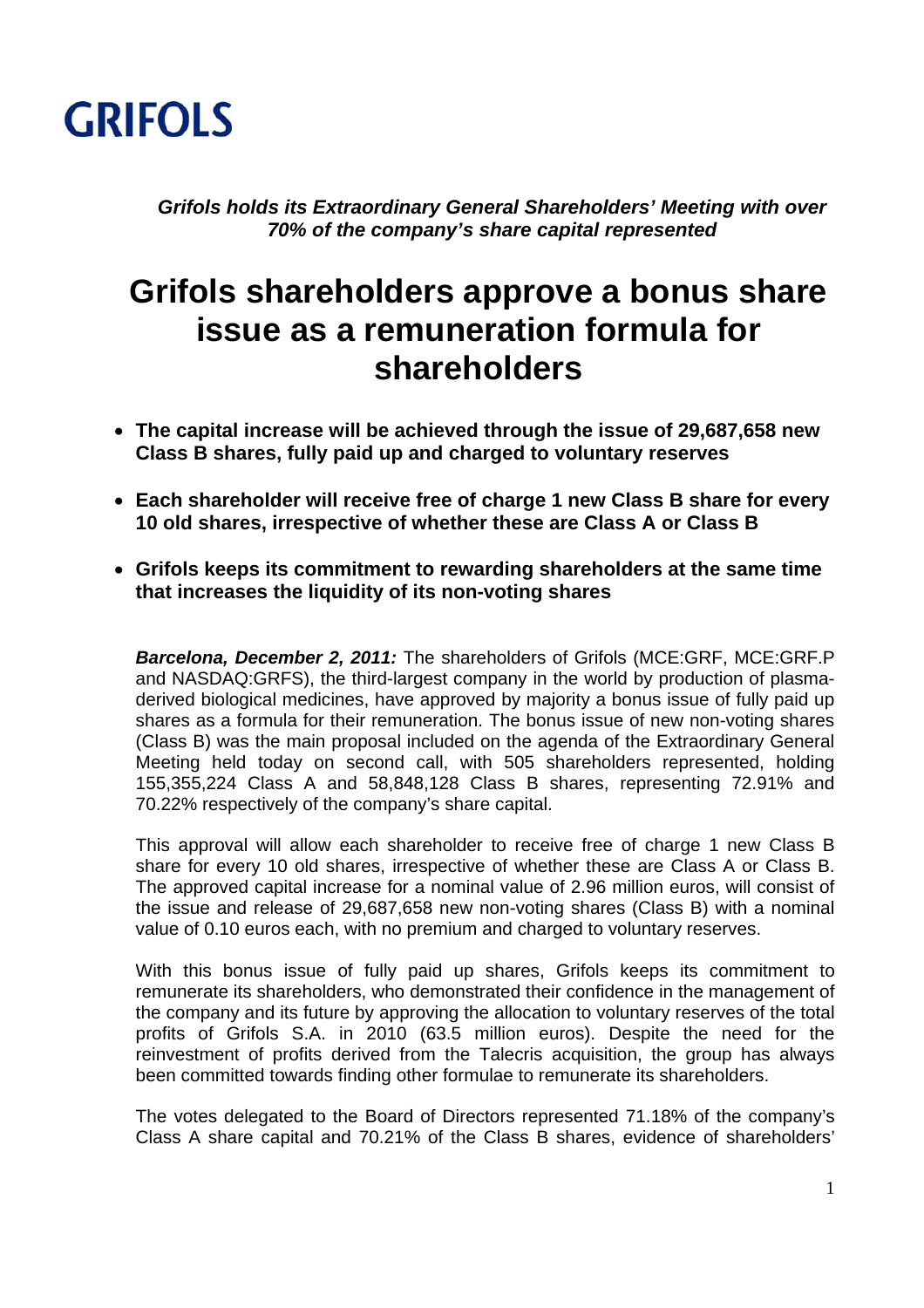

*Grifols holds its Extraordinary General Shareholders' Meeting with over 70% of the company's share capital represented*

## **Grifols shareholders approve a bonus share issue as a remuneration formula for shareholders**

- **The capital increase will be achieved through the issue of 29,687,658 new Class B shares, fully paid up and charged to voluntary reserves**
- **Each shareholder will receive free of charge 1 new Class B share for every 10 old shares, irrespective of whether these are Class A or Class B**
- **Grifols keeps its commitment to rewarding shareholders at the same time that increases the liquidity of its non-voting shares**

*Barcelona, December 2, 2011:* The shareholders of Grifols (MCE:GRF, MCE:GRF.P and NASDAQ:GRFS), the third-largest company in the world by production of plasmaderived biological medicines, have approved by majority a bonus issue of fully paid up shares as a formula for their remuneration. The bonus issue of new non-voting shares (Class B) was the main proposal included on the agenda of the Extraordinary General Meeting held today on second call, with 505 shareholders represented, holding 155,355,224 Class A and 58,848,128 Class B shares, representing 72.91% and 70.22% respectively of the company's share capital.

This approval will allow each shareholder to receive free of charge 1 new Class B share for every 10 old shares, irrespective of whether these are Class A or Class B. The approved capital increase for a nominal value of 2.96 million euros, will consist of the issue and release of 29,687,658 new non-voting shares (Class B) with a nominal value of 0.10 euros each, with no premium and charged to voluntary reserves.

With this bonus issue of fully paid up shares, Grifols keeps its commitment to remunerate its shareholders, who demonstrated their confidence in the management of the company and its future by approving the allocation to voluntary reserves of the total profits of Grifols S.A. in 2010 (63.5 million euros). Despite the need for the reinvestment of profits derived from the Talecris acquisition, the group has always been committed towards finding other formulae to remunerate its shareholders.

The votes delegated to the Board of Directors represented 71.18% of the company's Class A share capital and 70.21% of the Class B shares, evidence of shareholders'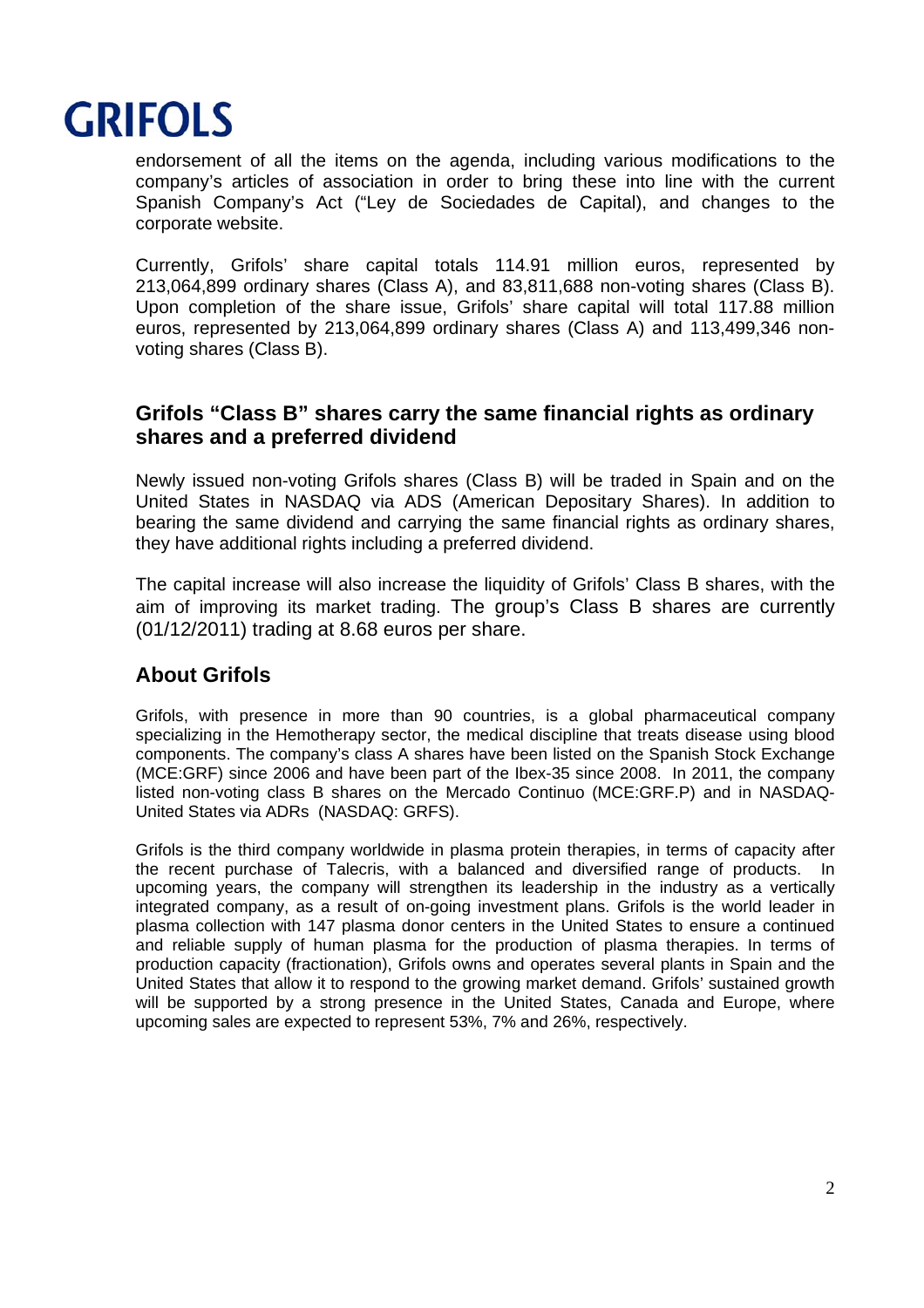

endorsement of all the items on the agenda, including various modifications to the company's articles of association in order to bring these into line with the current Spanish Company's Act ("Ley de Sociedades de Capital), and changes to the corporate website.

Currently, Grifols' share capital totals 114.91 million euros, represented by 213,064,899 ordinary shares (Class A), and 83,811,688 non-voting shares (Class B). Upon completion of the share issue, Grifols' share capital will total 117.88 million euros, represented by 213,064,899 ordinary shares (Class A) and 113,499,346 nonvoting shares (Class B).

## **Grifols "Class B" shares carry the same financial rights as ordinary shares and a preferred dividend**

Newly issued non-voting Grifols shares (Class B) will be traded in Spain and on the United States in NASDAQ via ADS (American Depositary Shares). In addition to bearing the same dividend and carrying the same financial rights as ordinary shares, they have additional rights including a preferred dividend.

The capital increase will also increase the liquidity of Grifols' Class B shares, with the aim of improving its market trading. The group's Class B shares are currently (01/12/2011) trading at 8.68 euros per share.

## **About Grifols**

Grifols, with presence in more than 90 countries, is a global pharmaceutical company specializing in the Hemotherapy sector, the medical discipline that treats disease using blood components. The company's class A shares have been listed on the Spanish Stock Exchange (MCE:GRF) since 2006 and have been part of the Ibex-35 since 2008. In 2011, the company listed non-voting class B shares on the Mercado Continuo (MCE:GRF.P) and in NASDAQ-United States via ADRs (NASDAQ: GRFS).

Grifols is the third company worldwide in plasma protein therapies, in terms of capacity after the recent purchase of Talecris, with a balanced and diversified range of products. In upcoming years, the company will strengthen its leadership in the industry as a vertically integrated company, as a result of on-going investment plans. Grifols is the world leader in plasma collection with 147 plasma donor centers in the United States to ensure a continued and reliable supply of human plasma for the production of plasma therapies. In terms of production capacity (fractionation), Grifols owns and operates several plants in Spain and the United States that allow it to respond to the growing market demand. Grifols' sustained growth will be supported by a strong presence in the United States, Canada and Europe, where upcoming sales are expected to represent 53%, 7% and 26%, respectively.